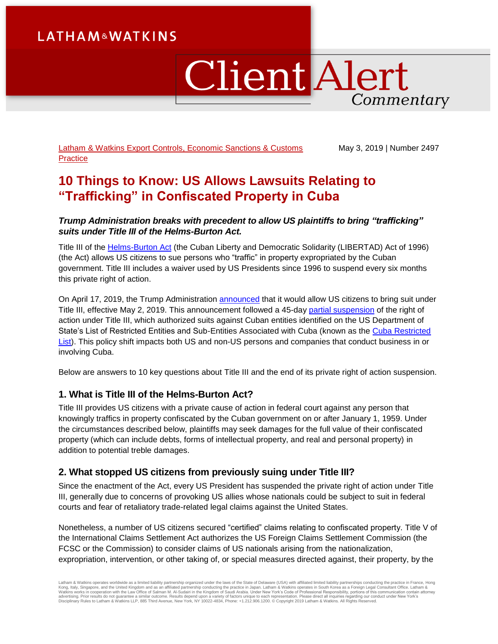# **LATHAM&WATKINS**

# **Client Alert** Commentary

[Latham & Watkins Export Controls, Economic Sanctions & Customs](https://www.lw.com/practices/ExportControlsAndEconomicSanctions)  **[Practice](https://www.lw.com/practices/ExportControlsAndEconomicSanctions)** 

May 3, 2019 | Number 2497

## **10 Things to Know: US Allows Lawsuits Relating to "Trafficking" in Confiscated Property in Cuba**

#### *Trump Administration breaks with precedent to allow US plaintiffs to bring "trafficking" suits under Title III of the Helms-Burton Act.*

Title III of the [Helms-Burton Act](https://www.treasury.gov/resource-center/sanctions/documents/libertad.pdf) (the Cuban Liberty and Democratic Solidarity (LIBERTAD) Act of 1996) (the Act) allows US citizens to sue persons who "traffic" in property expropriated by the Cuban government. Title III includes a waiver used by US Presidents since 1996 to suspend every six months this private right of action.

On April 17, 2019, the Trump Administration [announced](https://www.state.gov/secretary/remarks/2019/04/291174.htm) that it would allow US citizens to bring suit under Title III, effective May 2, 2019. This announcement followed a 45-day [partial suspension](https://www.state.gov/r/pa/prs/ps/2019/03/289871.htm) of the right of action under Title III, which authorized suits against Cuban entities identified on the US Department of State's List of Restricted Entities and Sub-Entities Associated with Cuba (known as the Cuba Restricted [List\)](https://www.state.gov/e/eb/tfs/spi/cuba/cubarestrictedlist/291329.htm). This policy shift impacts both US and non-US persons and companies that conduct business in or involving Cuba.

Below are answers to 10 key questions about Title III and the end of its private right of action suspension.

## **1. What is Title III of the Helms-Burton Act?**

Title III provides US citizens with a private cause of action in federal court against any person that knowingly traffics in property confiscated by the Cuban government on or after January 1, 1959. Under the circumstances described below, plaintiffs may seek damages for the full value of their confiscated property (which can include debts, forms of intellectual property, and real and personal property) in addition to potential treble damages.

## **2. What stopped US citizens from previously suing under Title III?**

Since the enactment of the Act, every US President has suspended the private right of action under Title III, generally due to concerns of provoking US allies whose nationals could be subject to suit in federal courts and fear of retaliatory trade-related legal claims against the United States.

Nonetheless, a number of US citizens secured "certified" claims relating to confiscated property. Title V of the International Claims Settlement Act authorizes the US Foreign Claims Settlement Commission (the FCSC or the Commission) to consider claims of US nationals arising from the nationalization, expropriation, intervention, or other taking of, or special measures directed against, their property, by the

Latham & Watkins operates worldwide as a limited liability partnership organized under the laws of the State of Delaware (USA) with affiliated limited liability partnerships conducting the practice in France, Hong Kong, Italy, Singapore, and the United Kingdom and as an affiliated partnership conducting the practice in Japan. Latham & Watkins operates in South Korea as a Foreign Legal Consultant Office. Latham &<br>Watkins works in coo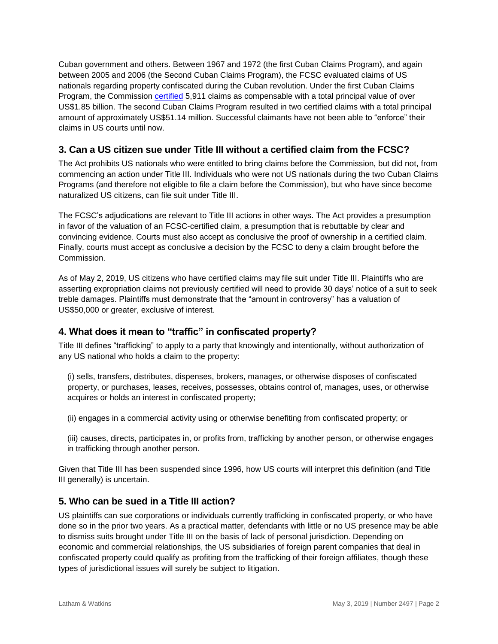Cuban government and others. Between 1967 and 1972 (the first Cuban Claims Program), and again between 2005 and 2006 (the Second Cuban Claims Program), the FCSC evaluated claims of US nationals regarding property confiscated during the Cuban revolution. Under the first Cuban Claims Program, the Commission [certified](https://www.justice.gov/fcsc/claims-against-cuba) 5,911 claims as compensable with a total principal value of over US\$1.85 billion. The second Cuban Claims Program resulted in two certified claims with a total principal amount of approximately US\$51.14 million. Successful claimants have not been able to "enforce" their claims in US courts until now.

## **3. Can a US citizen sue under Title III without a certified claim from the FCSC?**

The Act prohibits US nationals who were entitled to bring claims before the Commission, but did not, from commencing an action under Title III. Individuals who were not US nationals during the two Cuban Claims Programs (and therefore not eligible to file a claim before the Commission), but who have since become naturalized US citizens, can file suit under Title III.

The FCSC's adjudications are relevant to Title III actions in other ways. The Act provides a presumption in favor of the valuation of an FCSC-certified claim, a presumption that is rebuttable by clear and convincing evidence. Courts must also accept as conclusive the proof of ownership in a certified claim. Finally, courts must accept as conclusive a decision by the FCSC to deny a claim brought before the Commission.

As of May 2, 2019, US citizens who have certified claims may file suit under Title III. Plaintiffs who are asserting expropriation claims not previously certified will need to provide 30 days' notice of a suit to seek treble damages. Plaintiffs must demonstrate that the "amount in controversy" has a valuation of US\$50,000 or greater, exclusive of interest.

## **4. What does it mean to "traffic" in confiscated property?**

Title III defines "trafficking" to apply to a party that knowingly and intentionally, without authorization of any US national who holds a claim to the property:

(i) sells, transfers, distributes, dispenses, brokers, manages, or otherwise disposes of confiscated property, or purchases, leases, receives, possesses, obtains control of, manages, uses, or otherwise acquires or holds an interest in confiscated property;

(ii) engages in a commercial activity using or otherwise benefiting from confiscated property; or

(iii) causes, directs, participates in, or profits from, trafficking by another person, or otherwise engages in trafficking through another person.

Given that Title III has been suspended since 1996, how US courts will interpret this definition (and Title III generally) is uncertain.

#### **5. Who can be sued in a Title III action?**

US plaintiffs can sue corporations or individuals currently trafficking in confiscated property, or who have done so in the prior two years. As a practical matter, defendants with little or no US presence may be able to dismiss suits brought under Title III on the basis of lack of personal jurisdiction. Depending on economic and commercial relationships, the US subsidiaries of foreign parent companies that deal in confiscated property could qualify as profiting from the trafficking of their foreign affiliates, though these types of jurisdictional issues will surely be subject to litigation.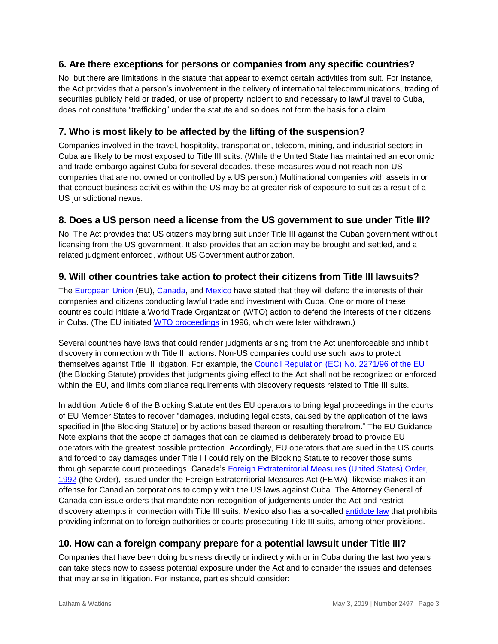## **6. Are there exceptions for persons or companies from any specific countries?**

No, but there are limitations in the statute that appear to exempt certain activities from suit. For instance, the Act provides that a person's involvement in the delivery of international telecommunications, trading of securities publicly held or traded, or use of property incident to and necessary to lawful travel to Cuba, does not constitute "trafficking" under the statute and so does not form the basis for a claim.

## **7. Who is most likely to be affected by the lifting of the suspension?**

Companies involved in the travel, hospitality, transportation, telecom, mining, and industrial sectors in Cuba are likely to be most exposed to Title III suits. (While the United State has maintained an economic and trade embargo against Cuba for several decades, these measures would not reach non-US companies that are not owned or controlled by a US person.) Multinational companies with assets in or that conduct business activities within the US may be at greater risk of exposure to suit as a result of a US jurisdictional nexus.

### **8. Does a US person need a license from the US government to sue under Title III?**

No. The Act provides that US citizens may bring suit under Title III against the Cuban government without licensing from the US government. It also provides that an action may be brought and settled, and a related judgment enforced, without US Government authorization.

## **9. Will other countries take action to protect their citizens from Title III lawsuits?**

The [European Union](https://www.consilium.europa.eu/en/press/press-releases/2019/05/02/declaration-by-the-high-representative-on-behalf-of-the-eu-on-the-full-activation-of-the-helms-burton-libertad-act-by-the-united-states/) (EU), [Canada,](https://www.canada.ca/en/global-affairs/news/2019/04/government-of-canada-will-defend-interests-of-canadians-doing-business-in-cuba.html) and [Mexico](https://www.gob.mx/sre/prensa/position-of-the-mexican-government-on-application-of-title) have stated that they will defend the interests of their companies and citizens conducting lawful trade and investment with Cuba. One or more of these countries could initiate a World Trade Organization (WTO) action to defend the interests of their citizens in Cuba. (The EU initiated [WTO proceedings](https://www.wto.org/english/tratop_e/dispu_e/cases_e/ds38_e.htm) in 1996, which were later withdrawn.)

Several countries have laws that could render judgments arising from the Act unenforceable and inhibit discovery in connection with Title III actions. Non-US companies could use such laws to protect themselves against Title III litigation. For example, the [Council Regulation \(EC\) No. 2271/96 of the EU](https://eur-lex.europa.eu/eli/reg/1996/2271/2014-02-20) (the Blocking Statute) provides that judgments giving effect to the Act shall not be recognized or enforced within the EU, and limits compliance requirements with discovery requests related to Title III suits.

In addition, Article 6 of the Blocking Statute entitles EU operators to bring legal proceedings in the courts of EU Member States to recover "damages, including legal costs, caused by the application of the laws specified in [the Blocking Statute] or by actions based thereon or resulting therefrom." The EU Guidance Note explains that the scope of damages that can be claimed is deliberately broad to provide EU operators with the greatest possible protection. Accordingly, EU operators that are sued in the US courts and forced to pay damages under Title III could rely on the Blocking Statute to recover those sums through separate court proceedings. Canada's [Foreign Extraterritorial Measures \(United States\) Order,](https://laws-lois.justice.gc.ca/eng/regulations/SOR-92-584/page-1.html)  [1992](https://laws-lois.justice.gc.ca/eng/regulations/SOR-92-584/page-1.html) (the Order), issued under the Foreign Extraterritorial Measures Act (FEMA), likewise makes it an offense for Canadian corporations to comply with the US laws against Cuba. The Attorney General of Canada can issue orders that mandate non-recognition of judgements under the Act and restrict discovery attempts in connection with Title III suits. Mexico also has a so-called [antidote](http://www.diputados.gob.mx/LeyesBiblio/pdf/63.pdf) law that prohibits providing information to foreign authorities or courts prosecuting Title III suits, among other provisions.

## **10. How can a foreign company prepare for a potential lawsuit under Title III?**

Companies that have been doing business directly or indirectly with or in Cuba during the last two years can take steps now to assess potential exposure under the Act and to consider the issues and defenses that may arise in litigation. For instance, parties should consider: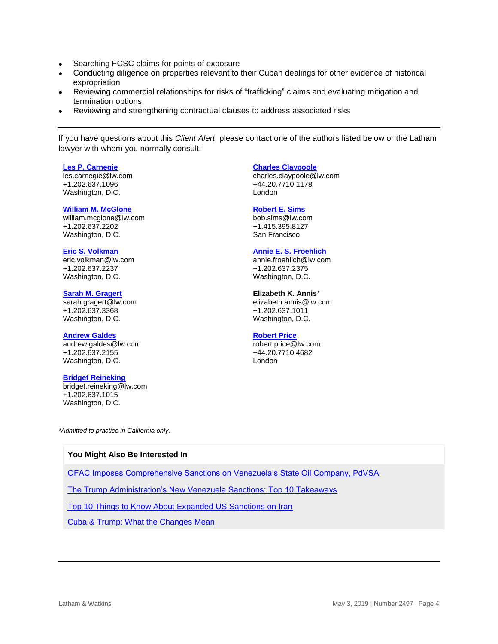- Searching FCSC claims for points of exposure
- Conducting diligence on properties relevant to their Cuban dealings for other evidence of historical expropriation
- Reviewing commercial relationships for risks of "trafficking" claims and evaluating mitigation and termination options
- Reviewing and strengthening contractual clauses to address associated risks

If you have questions about this *Client Alert*, please contact one of the authors listed below or the Latham lawyer with whom you normally consult:

#### **[Les P. Carnegie](https://www.lw.com/people/les-carnegie)**

[les.carnegie@lw.com](mailto:les.carnegie@lw.com) +1.202.637.1096 Washington, D.C.

#### **[William M. McGlone](https://www.lw.com/people/william-mcglone)**

[william.mcglone@lw.com](mailto:william.mcglone@lw.com) +1.202.637.2202 Washington, D.C.

**[Eric S. Volkman](https://www.lw.com/people/eric-volkman)** [eric.volkman@lw.com](mailto:eric.volkman@lw.com) +1.202.637.2237 Washington, D.C.

**[Sarah M. Gragert](https://www.lw.com/people/sarah-gragert)** sarah.gragert@lw.com +1.202.637.3368 Washington, D.C.

#### **[Andrew Galdes](https://www.lw.com/people/andrew-galdes)**

[andrew.galdes@lw.com](mailto:andrew.galdes@lw.com) +1.202.637.2155 Washington, D.C.

#### **[Bridget Reineking](https://www.lw.com/people/bridget-reineking)**

[bridget.reineking@lw.com](mailto:bridget.reineking@lw.com) +1.202.637.1015 Washington, D.C.

**[Charles Claypoole](https://www.lw.com/people/charles-claypoole)**

charles.claypoole@lw.com +44.20.7710.1178 London

#### **[Robert E. Sims](https://www.lw.com/people/robert-sims)**

[bob.sims@lw.com](mailto:bob.sims@lw.com) +1.415.395.8127 San Francisco

#### **[Annie E. S. Froehlich](https://www.lw.com/people/annie-froehlich)**

[annie.froehlich@lw.com](mailto:annie.froehlich@lw.com) +1.202.637.2375 Washington, D.C.

#### **Elizabeth K. Annis**\* [elizabeth.annis@lw.com](mailto:elizabeth.annis@lw.com) +1.202.637.1011 Washington, D.C.

#### **[Robert Price](https://www.lw.com/people/robert-price)**

robert.price@lw.com +44.20.7710.4682 London

*\*Admitted to practice in California only.*

#### **You Might Also Be Interested In**

[OFAC Imposes Comprehensive Sanctions on Venezuela's State Oil Company, PdVSA](https://www.lw.com/thoughtLeadership/lw-ofac-imposes-comprehensive-sanctions-on-venezuelas-state-oil-company)

[The Trump Administration's New Venezuela Sanctions: Top 10 Takeaways](https://www.lw.com/thoughtLeadership/LW-The-Trump-Administrations-New-Venezuela-Sanctions-Top-10-Takeaways)

[Top 10 Things to Know About Expanded US Sanctions on Iran](https://www.lw.com/thoughtLeadership/lw-top-10-things-to-know-expanded-us-sanctions-iran)

Cuba [& Trump: What the Changes Mean](https://www.lw.com/thoughtLeadership/cuba-and-trump-what-the-changes-mean)